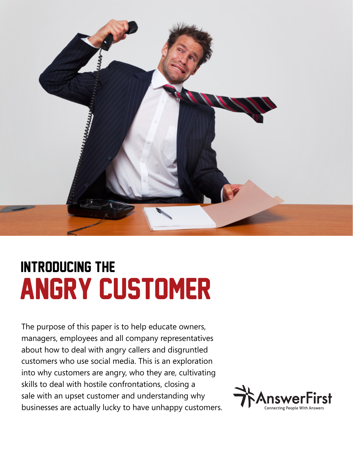

# Angry Customer Introducing the

The purpose of this paper is to help educate owners, managers, employees and all company representatives about how to deal with angry callers and disgruntled customers who use social media. This is an exploration into why customers are angry, who they are, cultivating skills to deal with hostile confrontations, closing a sale with an upset customer and understanding why businesses are actually lucky to have unhappy customers.

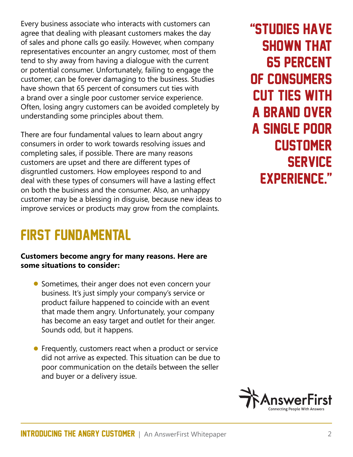Every business associate who interacts with customers can agree that dealing with pleasant customers makes the day of sales and phone calls go easily. However, when company representatives encounter an angry customer, most of them tend to shy away from having a dialogue with the current or potential consumer. Unfortunately, failing to engage the customer, can be forever damaging to the business. Studies have shown that 65 percent of consumers cut ties with a brand over a single poor customer service experience. Often, losing angry customers can be avoided completely by understanding some principles about them.

There are four fundamental values to learn about angry consumers in order to work towards resolving issues and completing sales, if possible. There are many reasons customers are upset and there are different types of disgruntled customers. How employees respond to and deal with these types of consumers will have a lasting effect on both the business and the consumer. Also, an unhappy customer may be a blessing in disguise, because new ideas to improve services or products may grow from the complaints.

### First Fundamental

#### **Customers become angry for many reasons. Here are some situations to consider:**

- Sometimes, their anger does not even concern your business. It's just simply your company's service or product failure happened to coincide with an event that made them angry. Unfortunately, your company has become an easy target and outlet for their anger. Sounds odd, but it happens.
- Frequently, customers react when a product or service did not arrive as expected. This situation can be due to poor communication on the details between the seller and buyer or a delivery issue.

"Studies have shown that 65 percent of consumers cut ties with a brand over a single poor **CUSTOMER SERVICE** experience."

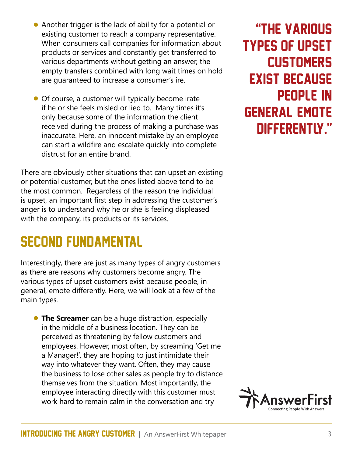- Another trigger is the lack of ability for a potential or existing customer to reach a company representative. When consumers call companies for information about products or services and constantly get transferred to various departments without getting an answer, the empty transfers combined with long wait times on hold are guaranteed to increase a consumer's ire.
- Of course, a customer will typically become irate if he or she feels misled or lied to. Many times it's only because some of the information the client received during the process of making a purchase was inaccurate. Here, an innocent mistake by an employee can start a wildfire and escalate quickly into complete distrust for an entire brand.

There are obviously other situations that can upset an existing or potential customer, but the ones listed above tend to be the most common. Regardless of the reason the individual is upset, an important first step in addressing the customer's anger is to understand why he or she is feeling displeased with the company, its products or its services.

### Second Fundamental

Interestingly, there are just as many types of angry customers as there are reasons why customers become angry. The various types of upset customers exist because people, in general, emote differently. Here, we will look at a few of the main types.

**• The Screamer** can be a huge distraction, especially in the middle of a business location. They can be perceived as threatening by fellow customers and employees. However, most often, by screaming 'Get me a Manager!', they are hoping to just intimidate their way into whatever they want. Often, they may cause the business to lose other sales as people try to distance themselves from the situation. Most importantly, the employee interacting directly with this customer must work hard to remain calm in the conversation and try

"The various types of upset **CUSTOMERS** exist because people, in general, emote differently."

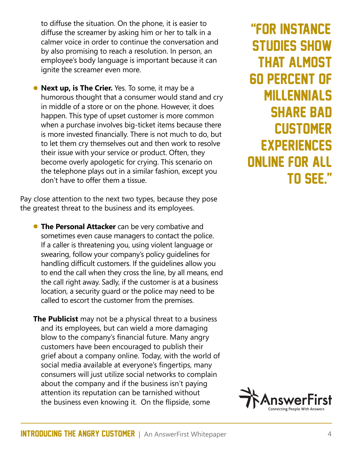to diffuse the situation. On the phone, it is easier to diffuse the screamer by asking him or her to talk in a calmer voice in order to continue the conversation and by also promising to reach a resolution. In person, an employee's body language is important because it can ignite the screamer even more.

• **Next up, is The Crier.** Yes. To some, it may be a humorous thought that a consumer would stand and cry in middle of a store or on the phone. However, it does happen. This type of upset customer is more common when a purchase involves big-ticket items because there is more invested financially. There is not much to do, but to let them cry themselves out and then work to resolve their issue with your service or product. Often, they become overly apologetic for crying. This scenario on the telephone plays out in a similar fashion, except you don't have to offer them a tissue.

Pay close attention to the next two types, because they pose the greatest threat to the business and its employees.

- **The Personal Attacker** can be very combative and sometimes even cause managers to contact the police. If a caller is threatening you, using violent language or swearing, follow your company's policy guidelines for handling difficult customers. If the guidelines allow you to end the call when they cross the line, by all means, end the call right away. Sadly, if the customer is at a business location, a security guard or the police may need to be called to escort the customer from the premises.
- **The Publicist** may not be a physical threat to a business and its employees, but can wield a more damaging blow to the company's financial future. Many angry customers have been encouraged to publish their grief about a company online. Today, with the world of social media available at everyone's fingertips, many consumers will just utilize social networks to complain about the company and if the business isn't paying attention its reputation can be tarnished without the business even knowing it. On the flipside, some

"For instance, studies show that almost 60 percent of millennials **SHARE BAD CUSTOMER EXPERIENCES** online for all to see."

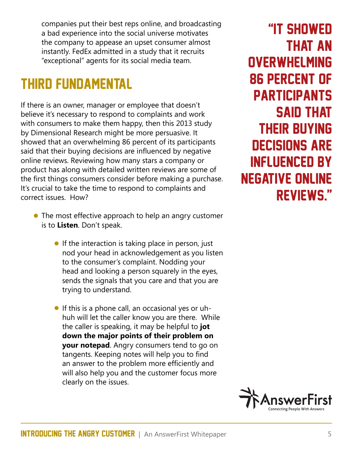companies put their best reps online, and broadcasting a bad experience into the social universe motivates the company to appease an upset consumer almost instantly. FedEx admitted in a study that it recruits "exceptional" agents for its social media team.

### Third Fundamental

If there is an owner, manager or employee that doesn't believe it's necessary to respond to complaints and work with consumers to make them happy, then this 2013 study by Dimensional Research might be more persuasive. It showed that an overwhelming 86 percent of its participants said that their buying decisions are influenced by negative online reviews. Reviewing how many stars a company or product has along with detailed written reviews are some of the first things consumers consider before making a purchase. It's crucial to take the time to respond to complaints and correct issues. How?

- The most effective approach to help an angry customer is to **Listen**. Don't speak.
	- If the interaction is taking place in person, just nod your head in acknowledgement as you listen to the consumer's complaint. Nodding your head and looking a person squarely in the eyes, sends the signals that you care and that you are trying to understand.
	- If this is a phone call, an occasional yes or uhhuh will let the caller know you are there. While the caller is speaking, it may be helpful to **jot down the major points of their problem on your notepad**. Angry consumers tend to go on tangents. Keeping notes will help you to find an answer to the problem more efficiently and will also help you and the customer focus more clearly on the issues.

"It showed that an **OVERWHELMING** 86 percent of **PARTICIPANTS** said that their buying decisions are influenced by negative online reviews."

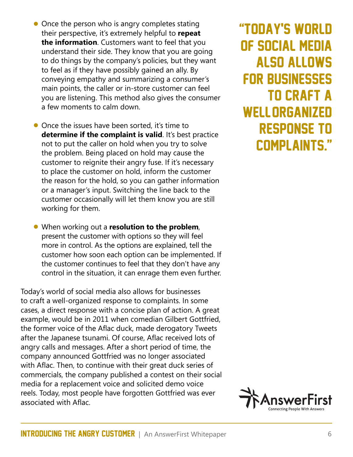- Once the person who is angry completes stating their perspective, it's extremely helpful to **repeat the information**. Customers want to feel that you understand their side. They know that you are going to do things by the company's policies, but they want to feel as if they have possibly gained an ally. By conveying empathy and summarizing a consumer's main points, the caller or in-store customer can feel you are listening. This method also gives the consumer a few moments to calm down.
- Once the issues have been sorted, it's time to **determine if the complaint is valid**. It's best practice not to put the caller on hold when you try to solve the problem. Being placed on hold may cause the customer to reignite their angry fuse. If it's necessary to place the customer on hold, inform the customer the reason for the hold, so you can gather information or a manager's input. Switching the line back to the customer occasionally will let them know you are still working for them.
- When working out a **resolution to the problem**, present the customer with options so they will feel more in control. As the options are explained, tell the customer how soon each option can be implemented. If the customer continues to feel that they don't have any control in the situation, it can enrage them even further.

Today's world of social media also allows for businesses to craft a well-organized response to complaints. In some cases, a direct response with a concise plan of action. A great example, would be in 2011 when comedian Gilbert Gottfried, the former voice of the Aflac duck, made derogatory Tweets after the Japanese tsunami. Of course, Aflac received lots of angry calls and messages. After a short period of time, the company announced Gottfried was no longer associated with Aflac. Then, to continue with their great duck series of commercials, the company published a contest on their social media for a replacement voice and solicited demo voice reels. Today, most people have forgotten Gottfried was ever associated with Aflac.

"Today's world of social media also allows for businesses **TO CRAFT A** WELL ORGANIZED response to complaints."

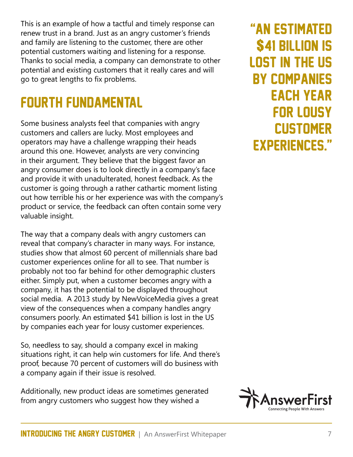This is an example of how a tactful and timely response can renew trust in a brand. Just as an angry customer's friends and family are listening to the customer, there are other potential customers waiting and listening for a response. Thanks to social media, a company can demonstrate to other potential and existing customers that it really cares and will go to great lengths to fix problems.

### Fourth Fundamental

Some business analysts feel that companies with angry customers and callers are lucky. Most employees and operators may have a challenge wrapping their heads around this one. However, analysts are very convincing in their argument. They believe that the biggest favor an angry consumer does is to look directly in a company's face and provide it with unadulterated, honest feedback. As the customer is going through a rather cathartic moment listing out how terrible his or her experience was with the company's product or service, the feedback can often contain some very valuable insight.

The way that a company deals with angry customers can reveal that company's character in many ways. For instance, studies show that almost 60 percent of millennials share bad customer experiences online for all to see. That number is probably not too far behind for other demographic clusters either. Simply put, when a customer becomes angry with a company, it has the potential to be displayed throughout social media. A 2013 study by NewVoiceMedia gives a great view of the consequences when a company handles angry consumers poorly. An estimated \$41 billion is lost in the US by companies each year for lousy customer experiences.

So, needless to say, should a company excel in making situations right, it can help win customers for life. And there's proof, because 70 percent of customers will do business with a company again if their issue is resolved.

Additionally, new product ideas are sometimes generated from angry customers who suggest how they wished a

"An estimated \$41 billion is lost in the US by companies each year for lousy **CUSTOMER** experiences."